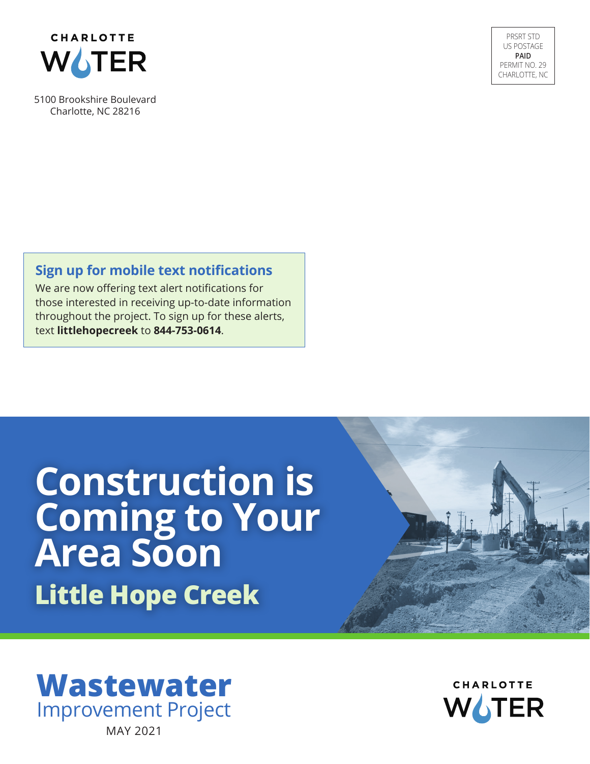

5100 Brookshire Boulevard Charlotte, NC 28216

PRSRT STD US POSTAGE **PAID** PERMIT NO. 29 CHARLOTTE, NC

### **Sign up for mobile text notifications**

We are now offering text alert notifications for those interested in receiving up-to-date information throughout the project. To sign up for these alerts, text **littlehopecreek** to **844-753-0614**.

# **Construction is Coming to Your Area Soon Little Hope Creek**